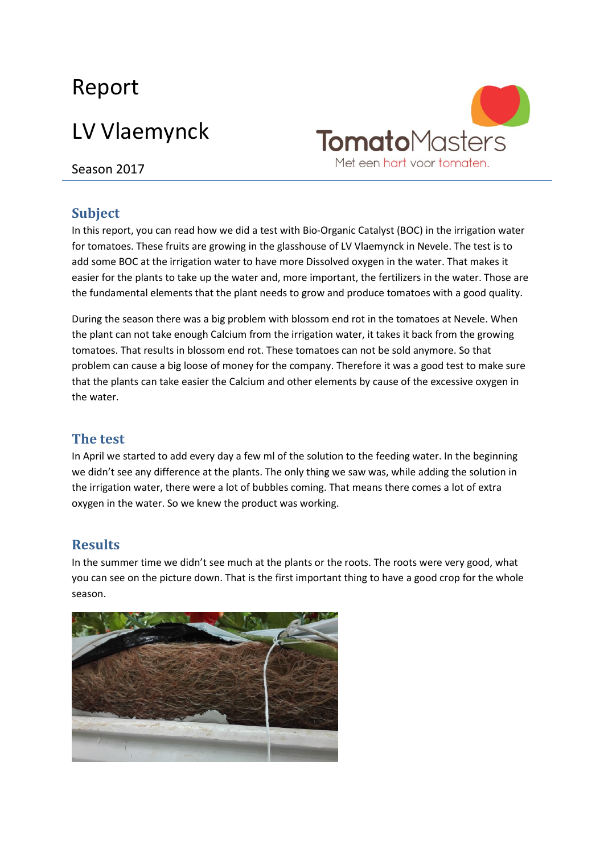## Report

# LV Vlaemynck



Season 2017

### **Subject**

In this report, you can read how we did a test with Bio-Organic Catalyst (BOC) in the irrigation water for tomatoes. These fruits are growing in the glasshouse of LV Vlaemynck in Nevele. The test is to add some BOC at the irrigation water to have more Dissolved oxygen in the water. That makes it easier for the plants to take up the water and, more important, the fertilizers in the water. Those are the fundamental elements that the plant needs to grow and produce tomatoes with a good quality.

During the season there was a big problem with blossom end rot in the tomatoes at Nevele. When the plant can not take enough Calcium from the irrigation water, it takes it back from the growing tomatoes. That results in blossom end rot. These tomatoes can not be sold anymore. So that problem can cause a big loose of money for the company. Therefore it was a good test to make sure that the plants can take easier the Calcium and other elements by cause of the excessive oxygen in the water.

#### **The test**

In April we started to add every day a few ml of the solution to the feeding water. In the beginning we didn't see any difference at the plants. The only thing we saw was, while adding the solution in the irrigation water, there were a lot of bubbles coming. That means there comes a lot of extra oxygen in the water. So we knew the product was working.

#### **Results**

In the summer time we didn't see much at the plants or the roots. The roots were very good, what you can see on the picture down. That is the first important thing to have a good crop for the whole season.

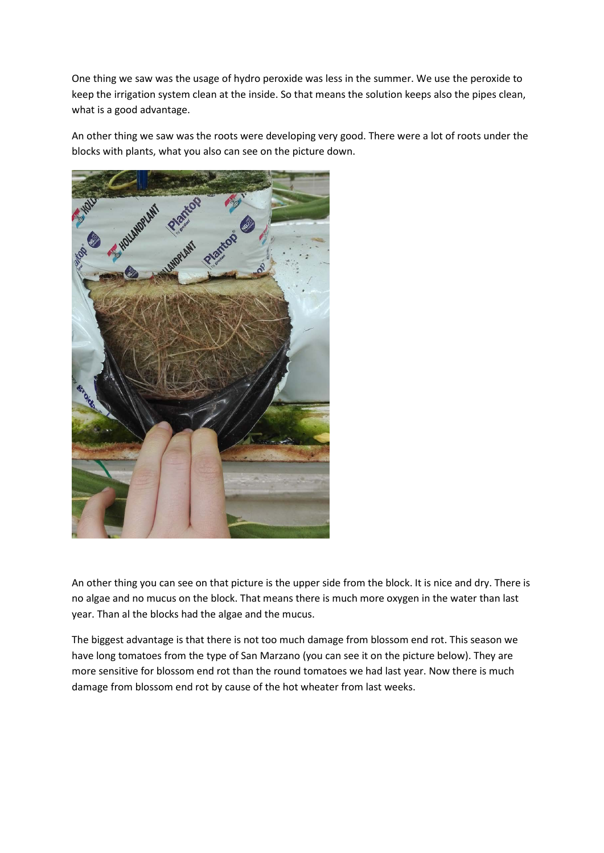One thing we saw was the usage of hydro peroxide was less in the summer. We use the peroxide to keep the irrigation system clean at the inside. So that means the solution keeps also the pipes clean, what is a good advantage.

An other thing we saw was the roots were developing very good. There were a lot of roots under the blocks with plants, what you also can see on the picture down.



An other thing you can see on that picture is the upper side from the block. It is nice and dry. There is no algae and no mucus on the block. That means there is much more oxygen in the water than last year. Than al the blocks had the algae and the mucus.

The biggest advantage is that there is not too much damage from blossom end rot. This season we have long tomatoes from the type of San Marzano (you can see it on the picture below). They are more sensitive for blossom end rot than the round tomatoes we had last year. Now there is much damage from blossom end rot by cause of the hot wheater from last weeks.